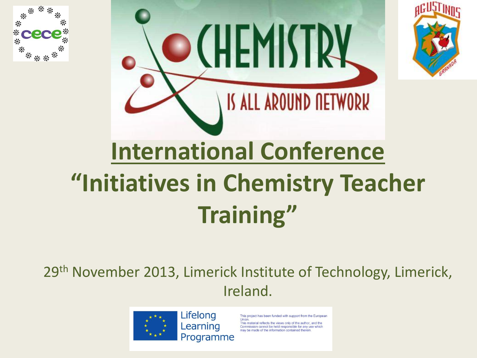



29th November 2013, Limerick Institute of Technology, Limerick, Ireland.



Lifelong Learning Programme

This project has been funded with support from the European

erial reflects the views only of the author, and the Commission cannot be held responsible for any use which ay be made of the information contained therein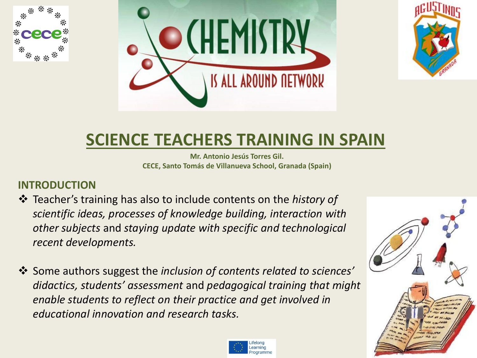





# **SCIENCE TEACHERS TRAINING IN SPAIN**

**Mr. Antonio Jesús Torres Gil. CECE, Santo Tomás de Villanueva School, Granada (Spain)**

#### **INTRODUCTION**

- Teacher's training has also to include contents on the *history of scientific ideas, processes of knowledge building, interaction with other subjects* and *staying update with specific and technological recent developments.*
- Some authors suggest the *inclusion of contents related to sciences' didactics, students' assessment* and *pedagogical training that might enable students to reflect on their practice and get involved in educational innovation and research tasks.*



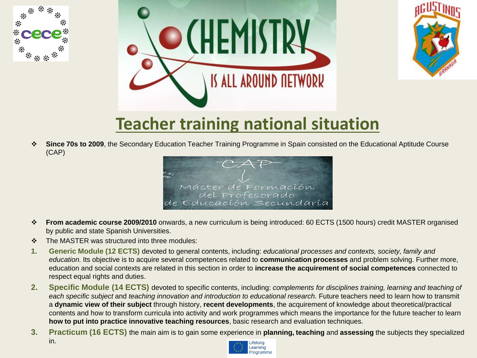





## **Teacher training national situation**

 **Since 70s to 2009**, the Secondary Education Teacher Training Programme in Spain consisted on the Educational Aptitude Course (CAP)



- **From academic course 2009/2010** onwards, a new curriculum is being introduced: 60 ECTS (1500 hours) credit MASTER organised by public and state Spanish Universities.
- ❖ The MASTER was structured into three modules:
- **1. Generic Module (12 ECTS)** devoted to general contents, including: *educational processes and contexts, society, family and education.* Its objective is to acquire several competences related to **communication processes** and problem solving. Further more, education and social contexts are related in this section in order to **increase the acquirement of social competences** connected to respect equal rights and duties.
- **2. Specific Module (14 ECTS)** devoted to specific contents, including: *complements for disciplines training, learning and teaching of each specific subject* and *teaching innovation and introduction to educational research.* Future teachers need to learn how to transmit a **dynamic view of their subject** through history, **recent developments**, the acquirement of knowledge about theoretical/practical contents and how to transform curricula into activity and work programmes which means the importance for the future teacher to learn **how to put into practice innovative teaching resources**, basic research and evaluation techniques.
- **3. Practicum (16 ECTS)** the main aim is to gain some experience in **planning, teaching** and **assessing** the subjects they specialized in.

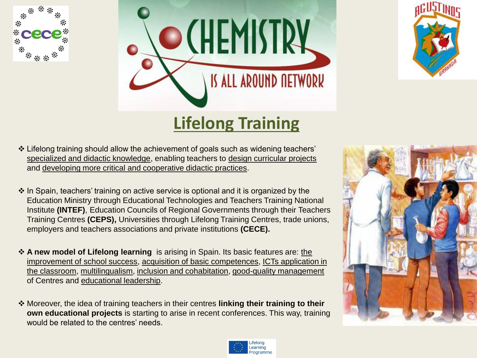





## **Lifelong Training**

- Lifelong training should allow the achievement of goals such as widening teachers' specialized and didactic knowledge, enabling teachers to design curricular projects and developing more critical and cooperative didactic practices.
- $\cdot$  In Spain, teachers' training on active service is optional and it is organized by the Education Ministry through Educational Technologies and Teachers Training National Institute **(INTEF)**, Education Councils of Regional Governments through their Teachers Training Centres **(CEPS),** Universities through Lifelong Training Centres, trade unions, employers and teachers associations and private institutions **(CECE).**
- **A new model of Lifelong learning** is arising in Spain. Its basic features are: the improvement of school success, acquisition of basic competences, ICTs application in the classroom, multilingualism, inclusion and cohabitation, good-quality management of Centres and educational leadership.
- Moreover, the idea of training teachers in their centres **linking their training to their own educational projects** is starting to arise in recent conferences. This way, training would be related to the centres' needs.



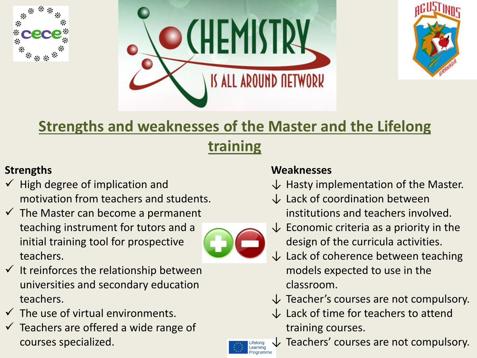





### **Strengths and weaknesses of the Master and the Lifelong**

### **training**

### **Strengths**

- $\checkmark$  High degree of implication and motivation from teachers and students.
- $\checkmark$  The Master can become a permanent teaching instrument for tutors and a initial training tool for prospective teachers.



- $\checkmark$  It reinforces the relationship between universities and secondary education teachers.
- $\checkmark$  The use of virtual environments.
- $\checkmark$  Teachers are offered a wide range of courses specialized.

#### **Weaknesses**

- $\downarrow$  Hasty implementation of the Master.
- $\downarrow$  Lack of coordination between institutions and teachers involved.
- $\downarrow$  Economic criteria as a priority in the design of the curricula activities.
- $\downarrow$  Lack of coherence between teaching models expected to use in the classroom.
- $\downarrow$  Teacher's courses are not compulsory.
- $\downarrow$  Lack of time for teachers to attend training courses.



Teachers' courses are not compulsory.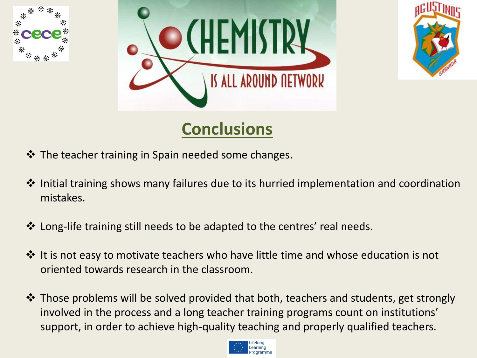





# **Conclusions**

- $\cdot$  The teacher training in Spain needed some changes.
- ❖ Initial training shows many failures due to its hurried implementation and coordination mistakes.
- Long-life training still needs to be adapted to the centres' real needs.
- $\cdot$  It is not easy to motivate teachers who have little time and whose education is not oriented towards research in the classroom.
- $\cdot$  Those problems will be solved provided that both, teachers and students, get strongly involved in the process and a long teacher training programs count on institutions' support, in order to achieve high-quality teaching and properly qualified teachers.